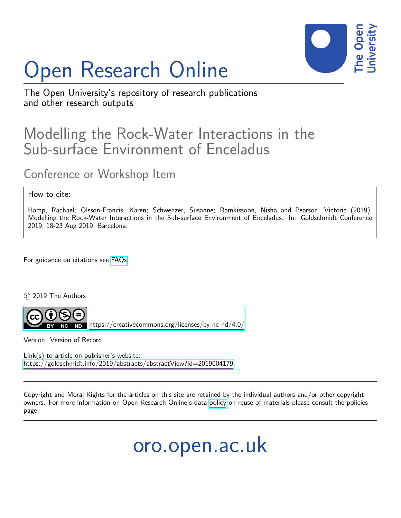## Open Research Online



The Open University's repository of research publications and other research outputs

## Modelling the Rock-Water Interactions in the Sub-surface Environment of Enceladus

Conference or Workshop Item

## How to cite:

Hamp, Rachael; Olsson-Francis, Karen; Schwenzer, Susanne; Ramkissoon, Nisha and Pearson, Victoria (2019). Modelling the Rock-Water Interactions in the Sub-surface Environment of Enceladus. In: Goldschmidt Conference 2019, 18-23 Aug 2019, Barcelona.

For guidance on citations see [FAQs.](http://oro.open.ac.uk/help/helpfaq.html)

c 2019 The Authors



<https://creativecommons.org/licenses/by-nc-nd/4.0/>

Version: Version of Record

Link(s) to article on publisher's website: <https://goldschmidt.info/2019/abstracts/abstractView?id=2019004179>

Copyright and Moral Rights for the articles on this site are retained by the individual authors and/or other copyright owners. For more information on Open Research Online's data [policy](http://oro.open.ac.uk/policies.html) on reuse of materials please consult the policies page.

oro.open.ac.uk